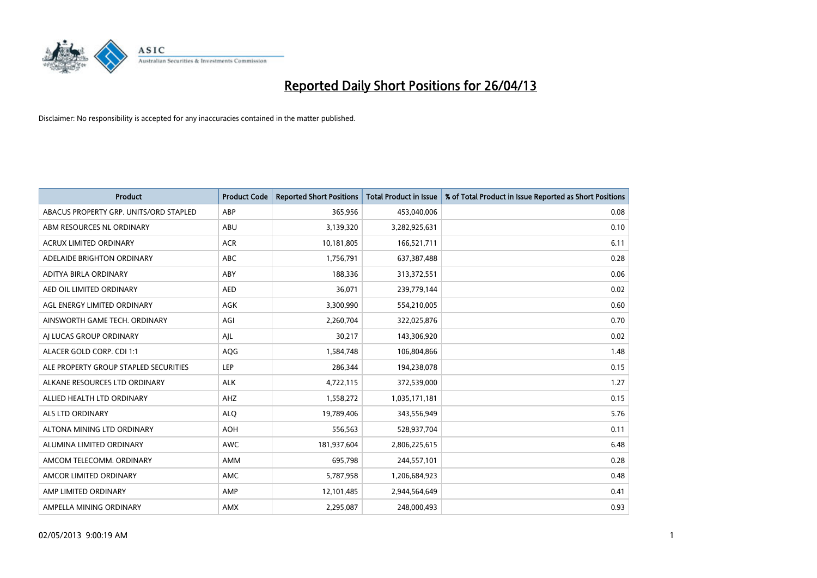

| <b>Product</b>                         | <b>Product Code</b> | <b>Reported Short Positions</b> | <b>Total Product in Issue</b> | % of Total Product in Issue Reported as Short Positions |
|----------------------------------------|---------------------|---------------------------------|-------------------------------|---------------------------------------------------------|
| ABACUS PROPERTY GRP. UNITS/ORD STAPLED | ABP                 | 365,956                         | 453,040,006                   | 0.08                                                    |
| ABM RESOURCES NL ORDINARY              | ABU                 | 3,139,320                       | 3,282,925,631                 | 0.10                                                    |
| <b>ACRUX LIMITED ORDINARY</b>          | <b>ACR</b>          | 10,181,805                      | 166,521,711                   | 6.11                                                    |
| ADELAIDE BRIGHTON ORDINARY             | <b>ABC</b>          | 1,756,791                       | 637,387,488                   | 0.28                                                    |
| ADITYA BIRLA ORDINARY                  | ABY                 | 188,336                         | 313,372,551                   | 0.06                                                    |
| AED OIL LIMITED ORDINARY               | <b>AED</b>          | 36,071                          | 239,779,144                   | 0.02                                                    |
| AGL ENERGY LIMITED ORDINARY            | AGK                 | 3,300,990                       | 554,210,005                   | 0.60                                                    |
| AINSWORTH GAME TECH. ORDINARY          | AGI                 | 2,260,704                       | 322,025,876                   | 0.70                                                    |
| AI LUCAS GROUP ORDINARY                | AJL                 | 30,217                          | 143,306,920                   | 0.02                                                    |
| ALACER GOLD CORP. CDI 1:1              | AQG                 | 1,584,748                       | 106,804,866                   | 1.48                                                    |
| ALE PROPERTY GROUP STAPLED SECURITIES  | <b>LEP</b>          | 286,344                         | 194,238,078                   | 0.15                                                    |
| ALKANE RESOURCES LTD ORDINARY          | <b>ALK</b>          | 4,722,115                       | 372,539,000                   | 1.27                                                    |
| ALLIED HEALTH LTD ORDINARY             | AHZ                 | 1,558,272                       | 1,035,171,181                 | 0.15                                                    |
| <b>ALS LTD ORDINARY</b>                | <b>ALO</b>          | 19,789,406                      | 343,556,949                   | 5.76                                                    |
| ALTONA MINING LTD ORDINARY             | <b>AOH</b>          | 556,563                         | 528,937,704                   | 0.11                                                    |
| ALUMINA LIMITED ORDINARY               | <b>AWC</b>          | 181,937,604                     | 2,806,225,615                 | 6.48                                                    |
| AMCOM TELECOMM. ORDINARY               | AMM                 | 695,798                         | 244,557,101                   | 0.28                                                    |
| AMCOR LIMITED ORDINARY                 | <b>AMC</b>          | 5,787,958                       | 1,206,684,923                 | 0.48                                                    |
| AMP LIMITED ORDINARY                   | AMP                 | 12,101,485                      | 2,944,564,649                 | 0.41                                                    |
| AMPELLA MINING ORDINARY                | AMX                 | 2,295,087                       | 248,000,493                   | 0.93                                                    |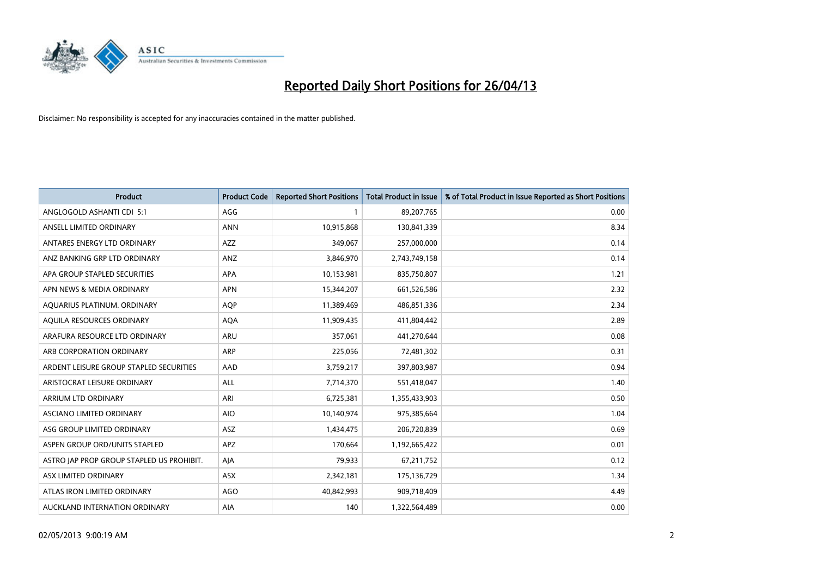

| <b>Product</b>                            | <b>Product Code</b> | <b>Reported Short Positions</b> | <b>Total Product in Issue</b> | % of Total Product in Issue Reported as Short Positions |
|-------------------------------------------|---------------------|---------------------------------|-------------------------------|---------------------------------------------------------|
| ANGLOGOLD ASHANTI CDI 5:1                 | AGG                 |                                 | 89,207,765                    | 0.00                                                    |
| ANSELL LIMITED ORDINARY                   | <b>ANN</b>          | 10,915,868                      | 130,841,339                   | 8.34                                                    |
| ANTARES ENERGY LTD ORDINARY               | AZZ                 | 349,067                         | 257,000,000                   | 0.14                                                    |
| ANZ BANKING GRP LTD ORDINARY              | ANZ                 | 3,846,970                       | 2,743,749,158                 | 0.14                                                    |
| APA GROUP STAPLED SECURITIES              | APA                 | 10,153,981                      | 835,750,807                   | 1.21                                                    |
| APN NEWS & MEDIA ORDINARY                 | <b>APN</b>          | 15,344,207                      | 661,526,586                   | 2.32                                                    |
| AQUARIUS PLATINUM. ORDINARY               | <b>AQP</b>          | 11,389,469                      | 486,851,336                   | 2.34                                                    |
| AQUILA RESOURCES ORDINARY                 | <b>AQA</b>          | 11,909,435                      | 411,804,442                   | 2.89                                                    |
| ARAFURA RESOURCE LTD ORDINARY             | ARU                 | 357,061                         | 441,270,644                   | 0.08                                                    |
| ARB CORPORATION ORDINARY                  | <b>ARP</b>          | 225,056                         | 72,481,302                    | 0.31                                                    |
| ARDENT LEISURE GROUP STAPLED SECURITIES   | AAD                 | 3,759,217                       | 397,803,987                   | 0.94                                                    |
| ARISTOCRAT LEISURE ORDINARY               | ALL                 | 7,714,370                       | 551,418,047                   | 1.40                                                    |
| ARRIUM LTD ORDINARY                       | ARI                 | 6,725,381                       | 1,355,433,903                 | 0.50                                                    |
| ASCIANO LIMITED ORDINARY                  | <b>AIO</b>          | 10,140,974                      | 975,385,664                   | 1.04                                                    |
| ASG GROUP LIMITED ORDINARY                | ASZ                 | 1,434,475                       | 206,720,839                   | 0.69                                                    |
| ASPEN GROUP ORD/UNITS STAPLED             | APZ                 | 170,664                         | 1,192,665,422                 | 0.01                                                    |
| ASTRO JAP PROP GROUP STAPLED US PROHIBIT. | AJA                 | 79,933                          | 67,211,752                    | 0.12                                                    |
| ASX LIMITED ORDINARY                      | ASX                 | 2,342,181                       | 175,136,729                   | 1.34                                                    |
| ATLAS IRON LIMITED ORDINARY               | AGO                 | 40,842,993                      | 909,718,409                   | 4.49                                                    |
| AUCKLAND INTERNATION ORDINARY             | AIA                 | 140                             | 1,322,564,489                 | 0.00                                                    |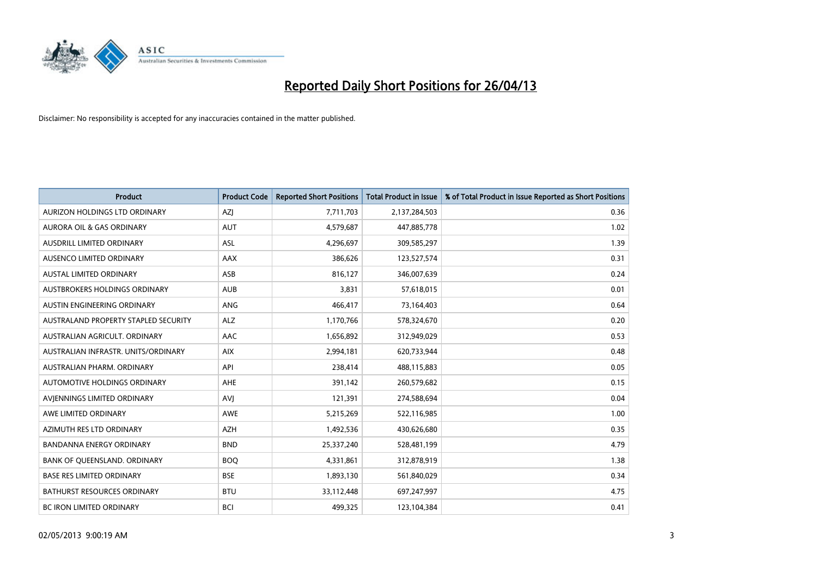

| <b>Product</b>                       | <b>Product Code</b> | <b>Reported Short Positions</b> | <b>Total Product in Issue</b> | % of Total Product in Issue Reported as Short Positions |
|--------------------------------------|---------------------|---------------------------------|-------------------------------|---------------------------------------------------------|
| AURIZON HOLDINGS LTD ORDINARY        | AZJ                 | 7,711,703                       | 2,137,284,503                 | 0.36                                                    |
| AURORA OIL & GAS ORDINARY            | <b>AUT</b>          | 4,579,687                       | 447,885,778                   | 1.02                                                    |
| <b>AUSDRILL LIMITED ORDINARY</b>     | ASL                 | 4,296,697                       | 309,585,297                   | 1.39                                                    |
| AUSENCO LIMITED ORDINARY             | <b>AAX</b>          | 386,626                         | 123,527,574                   | 0.31                                                    |
| <b>AUSTAL LIMITED ORDINARY</b>       | ASB                 | 816,127                         | 346,007,639                   | 0.24                                                    |
| AUSTBROKERS HOLDINGS ORDINARY        | <b>AUB</b>          | 3,831                           | 57,618,015                    | 0.01                                                    |
| AUSTIN ENGINEERING ORDINARY          | ANG                 | 466,417                         | 73,164,403                    | 0.64                                                    |
| AUSTRALAND PROPERTY STAPLED SECURITY | <b>ALZ</b>          | 1,170,766                       | 578,324,670                   | 0.20                                                    |
| AUSTRALIAN AGRICULT, ORDINARY        | AAC                 | 1,656,892                       | 312,949,029                   | 0.53                                                    |
| AUSTRALIAN INFRASTR, UNITS/ORDINARY  | <b>AIX</b>          | 2,994,181                       | 620,733,944                   | 0.48                                                    |
| AUSTRALIAN PHARM. ORDINARY           | API                 | 238,414                         | 488,115,883                   | 0.05                                                    |
| <b>AUTOMOTIVE HOLDINGS ORDINARY</b>  | <b>AHE</b>          | 391,142                         | 260,579,682                   | 0.15                                                    |
| AVJENNINGS LIMITED ORDINARY          | <b>AVJ</b>          | 121,391                         | 274,588,694                   | 0.04                                                    |
| AWE LIMITED ORDINARY                 | <b>AWE</b>          | 5,215,269                       | 522,116,985                   | 1.00                                                    |
| AZIMUTH RES LTD ORDINARY             | <b>AZH</b>          | 1,492,536                       | 430,626,680                   | 0.35                                                    |
| <b>BANDANNA ENERGY ORDINARY</b>      | <b>BND</b>          | 25,337,240                      | 528,481,199                   | 4.79                                                    |
| BANK OF QUEENSLAND. ORDINARY         | <b>BOO</b>          | 4,331,861                       | 312,878,919                   | 1.38                                                    |
| <b>BASE RES LIMITED ORDINARY</b>     | <b>BSE</b>          | 1,893,130                       | 561,840,029                   | 0.34                                                    |
| <b>BATHURST RESOURCES ORDINARY</b>   | <b>BTU</b>          | 33,112,448                      | 697,247,997                   | 4.75                                                    |
| <b>BC IRON LIMITED ORDINARY</b>      | <b>BCI</b>          | 499,325                         | 123,104,384                   | 0.41                                                    |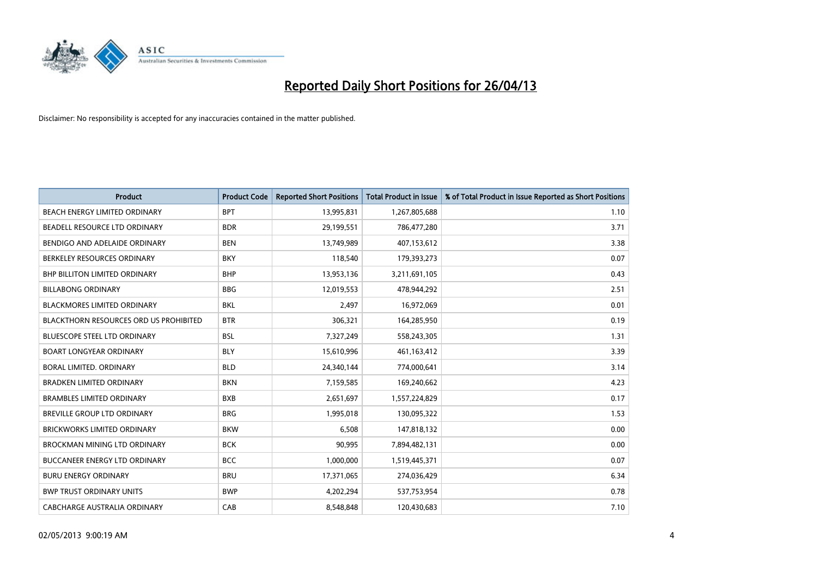

| <b>Product</b>                                | <b>Product Code</b> | <b>Reported Short Positions</b> | Total Product in Issue | % of Total Product in Issue Reported as Short Positions |
|-----------------------------------------------|---------------------|---------------------------------|------------------------|---------------------------------------------------------|
| BEACH ENERGY LIMITED ORDINARY                 | <b>BPT</b>          | 13,995,831                      | 1,267,805,688          | 1.10                                                    |
| BEADELL RESOURCE LTD ORDINARY                 | <b>BDR</b>          | 29,199,551                      | 786,477,280            | 3.71                                                    |
| BENDIGO AND ADELAIDE ORDINARY                 | <b>BEN</b>          | 13,749,989                      | 407,153,612            | 3.38                                                    |
| BERKELEY RESOURCES ORDINARY                   | <b>BKY</b>          | 118,540                         | 179,393,273            | 0.07                                                    |
| BHP BILLITON LIMITED ORDINARY                 | <b>BHP</b>          | 13,953,136                      | 3,211,691,105          | 0.43                                                    |
| <b>BILLABONG ORDINARY</b>                     | <b>BBG</b>          | 12,019,553                      | 478,944,292            | 2.51                                                    |
| <b>BLACKMORES LIMITED ORDINARY</b>            | <b>BKL</b>          | 2,497                           | 16,972,069             | 0.01                                                    |
| <b>BLACKTHORN RESOURCES ORD US PROHIBITED</b> | <b>BTR</b>          | 306,321                         | 164,285,950            | 0.19                                                    |
| BLUESCOPE STEEL LTD ORDINARY                  | <b>BSL</b>          | 7,327,249                       | 558,243,305            | 1.31                                                    |
| <b>BOART LONGYEAR ORDINARY</b>                | <b>BLY</b>          | 15,610,996                      | 461,163,412            | 3.39                                                    |
| <b>BORAL LIMITED, ORDINARY</b>                | <b>BLD</b>          | 24,340,144                      | 774,000,641            | 3.14                                                    |
| <b>BRADKEN LIMITED ORDINARY</b>               | <b>BKN</b>          | 7,159,585                       | 169,240,662            | 4.23                                                    |
| <b>BRAMBLES LIMITED ORDINARY</b>              | <b>BXB</b>          | 2,651,697                       | 1,557,224,829          | 0.17                                                    |
| <b>BREVILLE GROUP LTD ORDINARY</b>            | <b>BRG</b>          | 1,995,018                       | 130,095,322            | 1.53                                                    |
| <b>BRICKWORKS LIMITED ORDINARY</b>            | <b>BKW</b>          | 6,508                           | 147,818,132            | 0.00                                                    |
| <b>BROCKMAN MINING LTD ORDINARY</b>           | <b>BCK</b>          | 90,995                          | 7,894,482,131          | 0.00                                                    |
| <b>BUCCANEER ENERGY LTD ORDINARY</b>          | <b>BCC</b>          | 1,000,000                       | 1,519,445,371          | 0.07                                                    |
| <b>BURU ENERGY ORDINARY</b>                   | <b>BRU</b>          | 17,371,065                      | 274,036,429            | 6.34                                                    |
| <b>BWP TRUST ORDINARY UNITS</b>               | <b>BWP</b>          | 4,202,294                       | 537,753,954            | 0.78                                                    |
| CABCHARGE AUSTRALIA ORDINARY                  | CAB                 | 8,548,848                       | 120,430,683            | 7.10                                                    |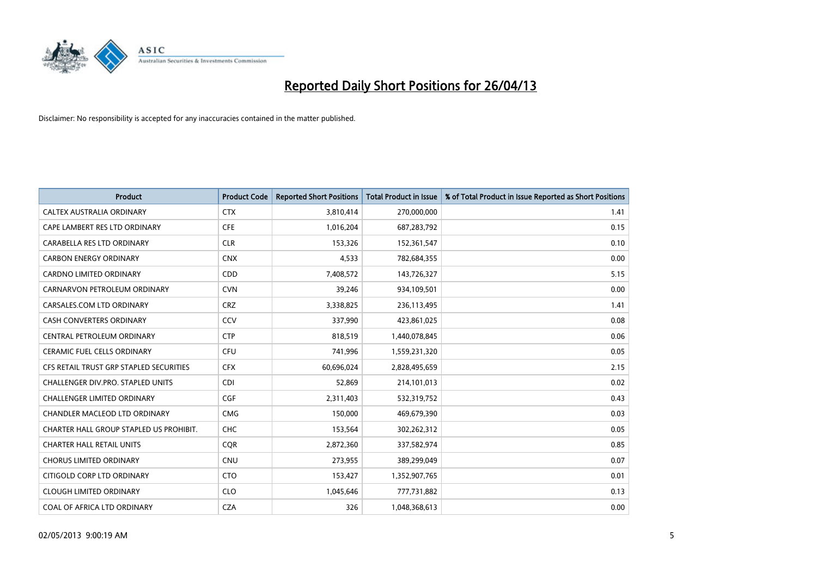

| <b>Product</b>                          | <b>Product Code</b> | <b>Reported Short Positions</b> | <b>Total Product in Issue</b> | % of Total Product in Issue Reported as Short Positions |
|-----------------------------------------|---------------------|---------------------------------|-------------------------------|---------------------------------------------------------|
| CALTEX AUSTRALIA ORDINARY               | <b>CTX</b>          | 3,810,414                       | 270,000,000                   | 1.41                                                    |
| CAPE LAMBERT RES LTD ORDINARY           | <b>CFE</b>          | 1,016,204                       | 687,283,792                   | 0.15                                                    |
| CARABELLA RES LTD ORDINARY              | <b>CLR</b>          | 153,326                         | 152,361,547                   | 0.10                                                    |
| <b>CARBON ENERGY ORDINARY</b>           | <b>CNX</b>          | 4,533                           | 782,684,355                   | 0.00                                                    |
| <b>CARDNO LIMITED ORDINARY</b>          | CDD                 | 7,408,572                       | 143,726,327                   | 5.15                                                    |
| CARNARVON PETROLEUM ORDINARY            | <b>CVN</b>          | 39,246                          | 934,109,501                   | 0.00                                                    |
| CARSALES.COM LTD ORDINARY               | <b>CRZ</b>          | 3,338,825                       | 236,113,495                   | 1.41                                                    |
| CASH CONVERTERS ORDINARY                | CCV                 | 337,990                         | 423,861,025                   | 0.08                                                    |
| CENTRAL PETROLEUM ORDINARY              | <b>CTP</b>          | 818,519                         | 1,440,078,845                 | 0.06                                                    |
| <b>CERAMIC FUEL CELLS ORDINARY</b>      | <b>CFU</b>          | 741,996                         | 1,559,231,320                 | 0.05                                                    |
| CFS RETAIL TRUST GRP STAPLED SECURITIES | <b>CFX</b>          | 60,696,024                      | 2,828,495,659                 | 2.15                                                    |
| CHALLENGER DIV.PRO. STAPLED UNITS       | <b>CDI</b>          | 52,869                          | 214,101,013                   | 0.02                                                    |
| <b>CHALLENGER LIMITED ORDINARY</b>      | <b>CGF</b>          | 2,311,403                       | 532,319,752                   | 0.43                                                    |
| CHANDLER MACLEOD LTD ORDINARY           | <b>CMG</b>          | 150,000                         | 469,679,390                   | 0.03                                                    |
| CHARTER HALL GROUP STAPLED US PROHIBIT. | CHC                 | 153,564                         | 302,262,312                   | 0.05                                                    |
| <b>CHARTER HALL RETAIL UNITS</b>        | <b>COR</b>          | 2,872,360                       | 337,582,974                   | 0.85                                                    |
| <b>CHORUS LIMITED ORDINARY</b>          | <b>CNU</b>          | 273,955                         | 389,299,049                   | 0.07                                                    |
| CITIGOLD CORP LTD ORDINARY              | <b>CTO</b>          | 153,427                         | 1,352,907,765                 | 0.01                                                    |
| <b>CLOUGH LIMITED ORDINARY</b>          | <b>CLO</b>          | 1,045,646                       | 777,731,882                   | 0.13                                                    |
| COAL OF AFRICA LTD ORDINARY             | <b>CZA</b>          | 326                             | 1,048,368,613                 | 0.00                                                    |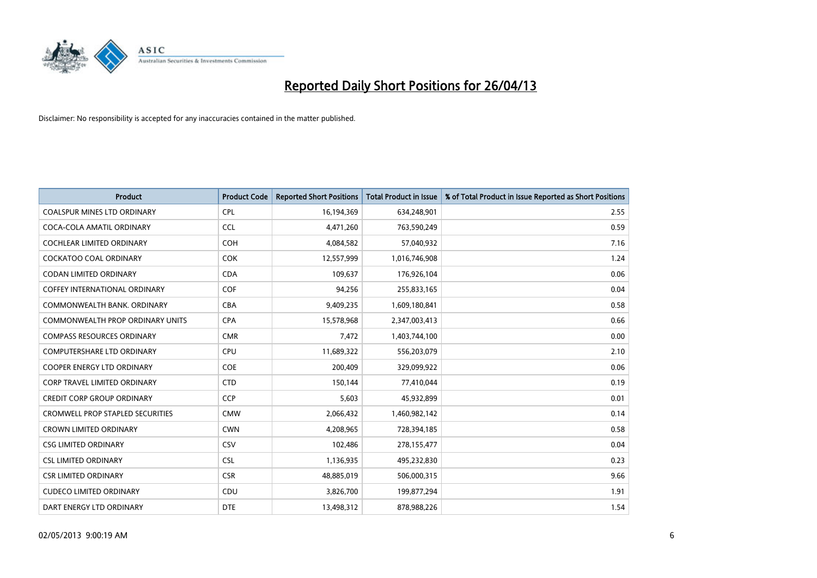

| <b>Product</b>                          | <b>Product Code</b> | <b>Reported Short Positions</b> | <b>Total Product in Issue</b> | % of Total Product in Issue Reported as Short Positions |
|-----------------------------------------|---------------------|---------------------------------|-------------------------------|---------------------------------------------------------|
| <b>COALSPUR MINES LTD ORDINARY</b>      | <b>CPL</b>          | 16,194,369                      | 634,248,901                   | 2.55                                                    |
| COCA-COLA AMATIL ORDINARY               | <b>CCL</b>          | 4,471,260                       | 763,590,249                   | 0.59                                                    |
| <b>COCHLEAR LIMITED ORDINARY</b>        | <b>COH</b>          | 4,084,582                       | 57,040,932                    | 7.16                                                    |
| COCKATOO COAL ORDINARY                  | <b>COK</b>          | 12,557,999                      | 1,016,746,908                 | 1.24                                                    |
| <b>CODAN LIMITED ORDINARY</b>           | <b>CDA</b>          | 109,637                         | 176,926,104                   | 0.06                                                    |
| <b>COFFEY INTERNATIONAL ORDINARY</b>    | COF                 | 94,256                          | 255,833,165                   | 0.04                                                    |
| COMMONWEALTH BANK, ORDINARY             | <b>CBA</b>          | 9,409,235                       | 1,609,180,841                 | 0.58                                                    |
| COMMONWEALTH PROP ORDINARY UNITS        | <b>CPA</b>          | 15,578,968                      | 2,347,003,413                 | 0.66                                                    |
| <b>COMPASS RESOURCES ORDINARY</b>       | <b>CMR</b>          | 7,472                           | 1,403,744,100                 | 0.00                                                    |
| <b>COMPUTERSHARE LTD ORDINARY</b>       | <b>CPU</b>          | 11,689,322                      | 556,203,079                   | 2.10                                                    |
| COOPER ENERGY LTD ORDINARY              | <b>COE</b>          | 200,409                         | 329,099,922                   | 0.06                                                    |
| <b>CORP TRAVEL LIMITED ORDINARY</b>     | <b>CTD</b>          | 150,144                         | 77,410,044                    | 0.19                                                    |
| <b>CREDIT CORP GROUP ORDINARY</b>       | <b>CCP</b>          | 5,603                           | 45,932,899                    | 0.01                                                    |
| <b>CROMWELL PROP STAPLED SECURITIES</b> | <b>CMW</b>          | 2,066,432                       | 1,460,982,142                 | 0.14                                                    |
| <b>CROWN LIMITED ORDINARY</b>           | <b>CWN</b>          | 4,208,965                       | 728,394,185                   | 0.58                                                    |
| <b>CSG LIMITED ORDINARY</b>             | CSV                 | 102,486                         | 278,155,477                   | 0.04                                                    |
| <b>CSL LIMITED ORDINARY</b>             | <b>CSL</b>          | 1,136,935                       | 495,232,830                   | 0.23                                                    |
| <b>CSR LIMITED ORDINARY</b>             | <b>CSR</b>          | 48,885,019                      | 506,000,315                   | 9.66                                                    |
| <b>CUDECO LIMITED ORDINARY</b>          | CDU                 | 3,826,700                       | 199,877,294                   | 1.91                                                    |
| DART ENERGY LTD ORDINARY                | <b>DTE</b>          | 13,498,312                      | 878,988,226                   | 1.54                                                    |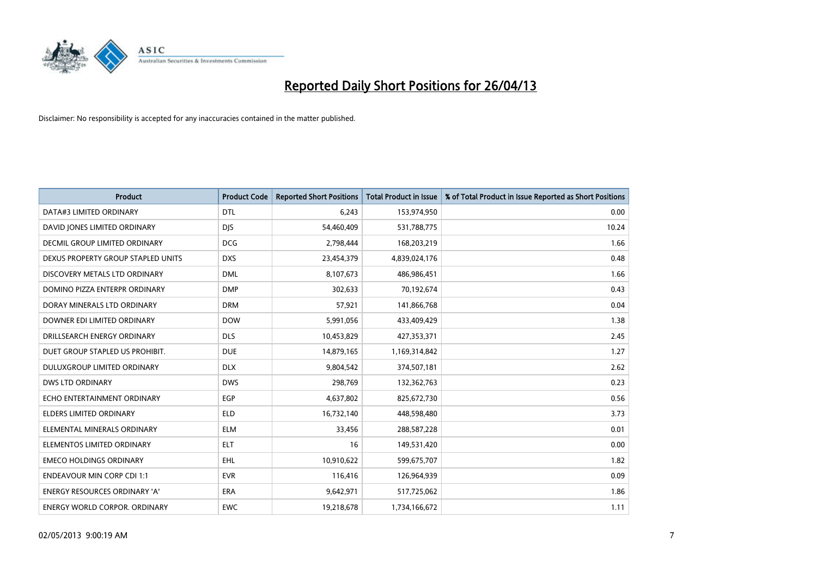

| <b>Product</b>                       | <b>Product Code</b> | <b>Reported Short Positions</b> | <b>Total Product in Issue</b> | % of Total Product in Issue Reported as Short Positions |
|--------------------------------------|---------------------|---------------------------------|-------------------------------|---------------------------------------------------------|
| DATA#3 LIMITED ORDINARY              | <b>DTL</b>          | 6,243                           | 153,974,950                   | 0.00                                                    |
| DAVID JONES LIMITED ORDINARY         | <b>DJS</b>          | 54,460,409                      | 531,788,775                   | 10.24                                                   |
| <b>DECMIL GROUP LIMITED ORDINARY</b> | <b>DCG</b>          | 2,798,444                       | 168,203,219                   | 1.66                                                    |
| DEXUS PROPERTY GROUP STAPLED UNITS   | <b>DXS</b>          | 23,454,379                      | 4,839,024,176                 | 0.48                                                    |
| DISCOVERY METALS LTD ORDINARY        | <b>DML</b>          | 8,107,673                       | 486,986,451                   | 1.66                                                    |
| DOMINO PIZZA ENTERPR ORDINARY        | <b>DMP</b>          | 302,633                         | 70,192,674                    | 0.43                                                    |
| DORAY MINERALS LTD ORDINARY          | <b>DRM</b>          | 57,921                          | 141,866,768                   | 0.04                                                    |
| DOWNER EDI LIMITED ORDINARY          | <b>DOW</b>          | 5,991,056                       | 433,409,429                   | 1.38                                                    |
| DRILLSEARCH ENERGY ORDINARY          | <b>DLS</b>          | 10,453,829                      | 427,353,371                   | 2.45                                                    |
| DUET GROUP STAPLED US PROHIBIT.      | <b>DUE</b>          | 14,879,165                      | 1,169,314,842                 | 1.27                                                    |
| DULUXGROUP LIMITED ORDINARY          | <b>DLX</b>          | 9,804,542                       | 374,507,181                   | 2.62                                                    |
| <b>DWS LTD ORDINARY</b>              | <b>DWS</b>          | 298,769                         | 132,362,763                   | 0.23                                                    |
| ECHO ENTERTAINMENT ORDINARY          | <b>EGP</b>          | 4,637,802                       | 825,672,730                   | 0.56                                                    |
| ELDERS LIMITED ORDINARY              | <b>ELD</b>          | 16,732,140                      | 448,598,480                   | 3.73                                                    |
| ELEMENTAL MINERALS ORDINARY          | <b>ELM</b>          | 33,456                          | 288,587,228                   | 0.01                                                    |
| ELEMENTOS LIMITED ORDINARY           | ELT                 | 16                              | 149,531,420                   | 0.00                                                    |
| <b>EMECO HOLDINGS ORDINARY</b>       | <b>EHL</b>          | 10,910,622                      | 599,675,707                   | 1.82                                                    |
| <b>ENDEAVOUR MIN CORP CDI 1:1</b>    | <b>EVR</b>          | 116,416                         | 126,964,939                   | 0.09                                                    |
| <b>ENERGY RESOURCES ORDINARY 'A'</b> | <b>ERA</b>          | 9,642,971                       | 517,725,062                   | 1.86                                                    |
| <b>ENERGY WORLD CORPOR. ORDINARY</b> | <b>EWC</b>          | 19,218,678                      | 1,734,166,672                 | 1.11                                                    |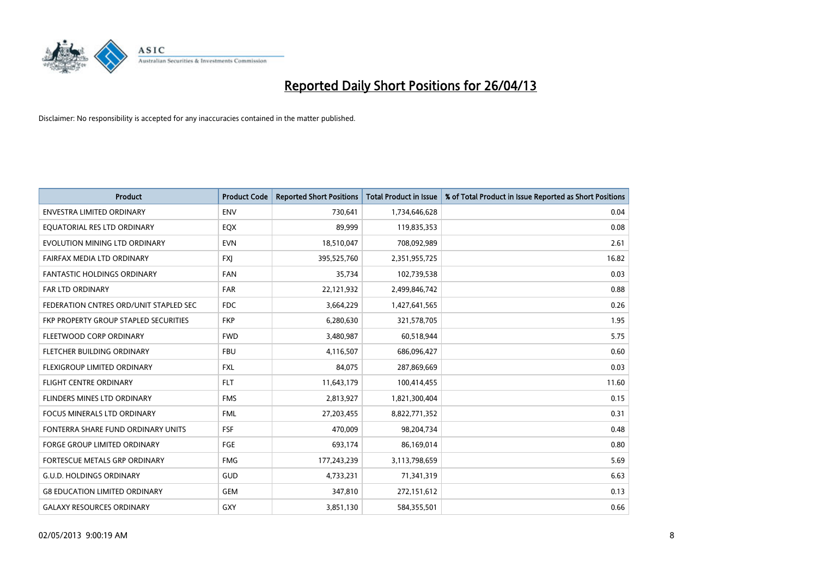

| <b>Product</b>                         | <b>Product Code</b> | <b>Reported Short Positions</b> | <b>Total Product in Issue</b> | % of Total Product in Issue Reported as Short Positions |
|----------------------------------------|---------------------|---------------------------------|-------------------------------|---------------------------------------------------------|
| <b>ENVESTRA LIMITED ORDINARY</b>       | <b>ENV</b>          | 730,641                         | 1,734,646,628                 | 0.04                                                    |
| EQUATORIAL RES LTD ORDINARY            | EQX                 | 89,999                          | 119,835,353                   | 0.08                                                    |
| EVOLUTION MINING LTD ORDINARY          | <b>EVN</b>          | 18,510,047                      | 708,092,989                   | 2.61                                                    |
| FAIRFAX MEDIA LTD ORDINARY             | FXJ                 | 395,525,760                     | 2,351,955,725                 | 16.82                                                   |
| <b>FANTASTIC HOLDINGS ORDINARY</b>     | <b>FAN</b>          | 35,734                          | 102,739,538                   | 0.03                                                    |
| <b>FAR LTD ORDINARY</b>                | <b>FAR</b>          | 22,121,932                      | 2,499,846,742                 | 0.88                                                    |
| FEDERATION CNTRES ORD/UNIT STAPLED SEC | FDC                 | 3,664,229                       | 1,427,641,565                 | 0.26                                                    |
| FKP PROPERTY GROUP STAPLED SECURITIES  | <b>FKP</b>          | 6,280,630                       | 321,578,705                   | 1.95                                                    |
| FLEETWOOD CORP ORDINARY                | <b>FWD</b>          | 3,480,987                       | 60,518,944                    | 5.75                                                    |
| FLETCHER BUILDING ORDINARY             | <b>FBU</b>          | 4,116,507                       | 686,096,427                   | 0.60                                                    |
| FLEXIGROUP LIMITED ORDINARY            | <b>FXL</b>          | 84,075                          | 287,869,669                   | 0.03                                                    |
| <b>FLIGHT CENTRE ORDINARY</b>          | <b>FLT</b>          | 11,643,179                      | 100,414,455                   | 11.60                                                   |
| FLINDERS MINES LTD ORDINARY            | <b>FMS</b>          | 2,813,927                       | 1,821,300,404                 | 0.15                                                    |
| <b>FOCUS MINERALS LTD ORDINARY</b>     | <b>FML</b>          | 27,203,455                      | 8,822,771,352                 | 0.31                                                    |
| FONTERRA SHARE FUND ORDINARY UNITS     | <b>FSF</b>          | 470,009                         | 98,204,734                    | 0.48                                                    |
| FORGE GROUP LIMITED ORDINARY           | FGE                 | 693,174                         | 86,169,014                    | 0.80                                                    |
| FORTESCUE METALS GRP ORDINARY          | <b>FMG</b>          | 177,243,239                     | 3,113,798,659                 | 5.69                                                    |
| <b>G.U.D. HOLDINGS ORDINARY</b>        | GUD                 | 4,733,231                       | 71,341,319                    | 6.63                                                    |
| <b>G8 EDUCATION LIMITED ORDINARY</b>   | <b>GEM</b>          | 347,810                         | 272,151,612                   | 0.13                                                    |
| <b>GALAXY RESOURCES ORDINARY</b>       | GXY                 | 3,851,130                       | 584,355,501                   | 0.66                                                    |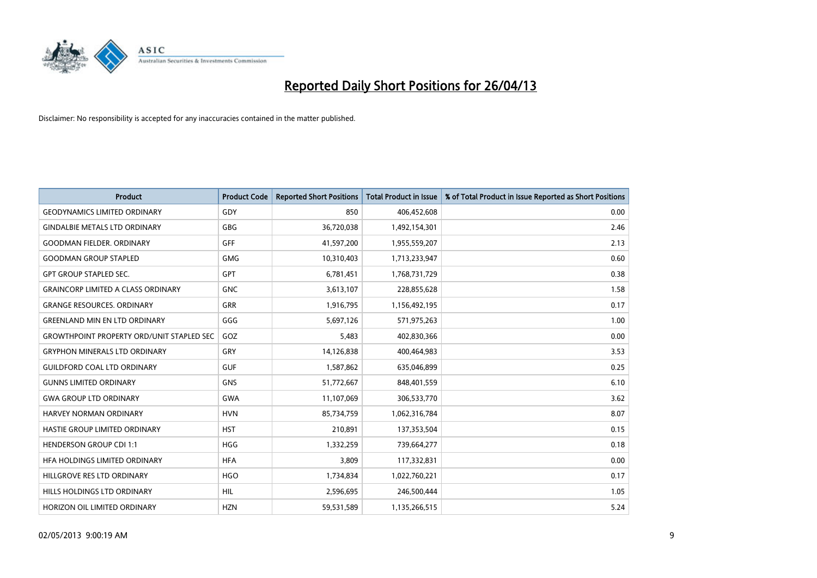

| <b>Product</b>                                   | <b>Product Code</b> | <b>Reported Short Positions</b> | <b>Total Product in Issue</b> | % of Total Product in Issue Reported as Short Positions |
|--------------------------------------------------|---------------------|---------------------------------|-------------------------------|---------------------------------------------------------|
| <b>GEODYNAMICS LIMITED ORDINARY</b>              | GDY                 | 850                             | 406,452,608                   | 0.00                                                    |
| <b>GINDALBIE METALS LTD ORDINARY</b>             | <b>GBG</b>          | 36,720,038                      | 1,492,154,301                 | 2.46                                                    |
| <b>GOODMAN FIELDER, ORDINARY</b>                 | GFF                 | 41,597,200                      | 1,955,559,207                 | 2.13                                                    |
| <b>GOODMAN GROUP STAPLED</b>                     | <b>GMG</b>          | 10,310,403                      | 1,713,233,947                 | 0.60                                                    |
| <b>GPT GROUP STAPLED SEC.</b>                    | GPT                 | 6,781,451                       | 1,768,731,729                 | 0.38                                                    |
| <b>GRAINCORP LIMITED A CLASS ORDINARY</b>        | <b>GNC</b>          | 3,613,107                       | 228,855,628                   | 1.58                                                    |
| <b>GRANGE RESOURCES, ORDINARY</b>                | GRR                 | 1,916,795                       | 1,156,492,195                 | 0.17                                                    |
| <b>GREENLAND MIN EN LTD ORDINARY</b>             | GGG                 | 5,697,126                       | 571,975,263                   | 1.00                                                    |
| <b>GROWTHPOINT PROPERTY ORD/UNIT STAPLED SEC</b> | GOZ                 | 5,483                           | 402,830,366                   | 0.00                                                    |
| <b>GRYPHON MINERALS LTD ORDINARY</b>             | GRY                 | 14,126,838                      | 400,464,983                   | 3.53                                                    |
| <b>GUILDFORD COAL LTD ORDINARY</b>               | <b>GUF</b>          | 1,587,862                       | 635,046,899                   | 0.25                                                    |
| <b>GUNNS LIMITED ORDINARY</b>                    | <b>GNS</b>          | 51,772,667                      | 848,401,559                   | 6.10                                                    |
| <b>GWA GROUP LTD ORDINARY</b>                    | <b>GWA</b>          | 11,107,069                      | 306,533,770                   | 3.62                                                    |
| HARVEY NORMAN ORDINARY                           | <b>HVN</b>          | 85,734,759                      | 1,062,316,784                 | 8.07                                                    |
| HASTIE GROUP LIMITED ORDINARY                    | <b>HST</b>          | 210,891                         | 137,353,504                   | 0.15                                                    |
| <b>HENDERSON GROUP CDI 1:1</b>                   | <b>HGG</b>          | 1,332,259                       | 739,664,277                   | 0.18                                                    |
| HFA HOLDINGS LIMITED ORDINARY                    | <b>HFA</b>          | 3,809                           | 117,332,831                   | 0.00                                                    |
| HILLGROVE RES LTD ORDINARY                       | <b>HGO</b>          | 1,734,834                       | 1,022,760,221                 | 0.17                                                    |
| HILLS HOLDINGS LTD ORDINARY                      | <b>HIL</b>          | 2,596,695                       | 246,500,444                   | 1.05                                                    |
| HORIZON OIL LIMITED ORDINARY                     | <b>HZN</b>          | 59,531,589                      | 1,135,266,515                 | 5.24                                                    |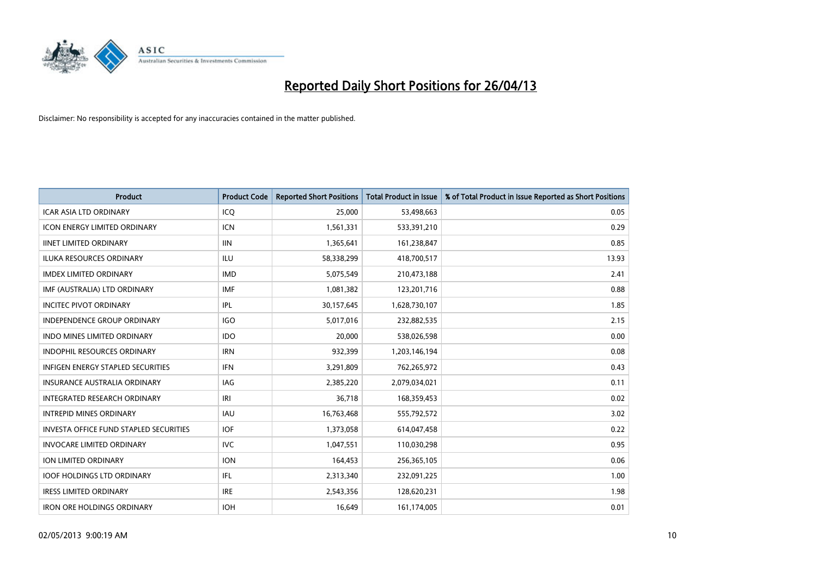

| <b>Product</b>                                | <b>Product Code</b> | <b>Reported Short Positions</b> | <b>Total Product in Issue</b> | % of Total Product in Issue Reported as Short Positions |
|-----------------------------------------------|---------------------|---------------------------------|-------------------------------|---------------------------------------------------------|
| <b>ICAR ASIA LTD ORDINARY</b>                 | ICQ                 | 25,000                          | 53,498,663                    | 0.05                                                    |
| ICON ENERGY LIMITED ORDINARY                  | <b>ICN</b>          | 1,561,331                       | 533,391,210                   | 0.29                                                    |
| <b>IINET LIMITED ORDINARY</b>                 | <b>IIN</b>          | 1,365,641                       | 161,238,847                   | 0.85                                                    |
| ILUKA RESOURCES ORDINARY                      | ILU                 | 58,338,299                      | 418,700,517                   | 13.93                                                   |
| <b>IMDEX LIMITED ORDINARY</b>                 | <b>IMD</b>          | 5,075,549                       | 210,473,188                   | 2.41                                                    |
| IMF (AUSTRALIA) LTD ORDINARY                  | <b>IMF</b>          | 1,081,382                       | 123,201,716                   | 0.88                                                    |
| <b>INCITEC PIVOT ORDINARY</b>                 | IPL                 | 30,157,645                      | 1,628,730,107                 | 1.85                                                    |
| INDEPENDENCE GROUP ORDINARY                   | <b>IGO</b>          | 5,017,016                       | 232,882,535                   | 2.15                                                    |
| <b>INDO MINES LIMITED ORDINARY</b>            | <b>IDO</b>          | 20,000                          | 538,026,598                   | 0.00                                                    |
| <b>INDOPHIL RESOURCES ORDINARY</b>            | <b>IRN</b>          | 932,399                         | 1,203,146,194                 | 0.08                                                    |
| INFIGEN ENERGY STAPLED SECURITIES             | <b>IFN</b>          | 3,291,809                       | 762,265,972                   | 0.43                                                    |
| <b>INSURANCE AUSTRALIA ORDINARY</b>           | IAG                 | 2,385,220                       | 2,079,034,021                 | 0.11                                                    |
| INTEGRATED RESEARCH ORDINARY                  | IRI                 | 36,718                          | 168,359,453                   | 0.02                                                    |
| <b>INTREPID MINES ORDINARY</b>                | <b>IAU</b>          | 16,763,468                      | 555,792,572                   | 3.02                                                    |
| <b>INVESTA OFFICE FUND STAPLED SECURITIES</b> | <b>IOF</b>          | 1,373,058                       | 614,047,458                   | 0.22                                                    |
| <b>INVOCARE LIMITED ORDINARY</b>              | <b>IVC</b>          | 1,047,551                       | 110,030,298                   | 0.95                                                    |
| ION LIMITED ORDINARY                          | <b>ION</b>          | 164,453                         | 256,365,105                   | 0.06                                                    |
| <b>IOOF HOLDINGS LTD ORDINARY</b>             | IFL                 | 2,313,340                       | 232,091,225                   | 1.00                                                    |
| <b>IRESS LIMITED ORDINARY</b>                 | <b>IRE</b>          | 2,543,356                       | 128,620,231                   | 1.98                                                    |
| <b>IRON ORE HOLDINGS ORDINARY</b>             | <b>IOH</b>          | 16,649                          | 161,174,005                   | 0.01                                                    |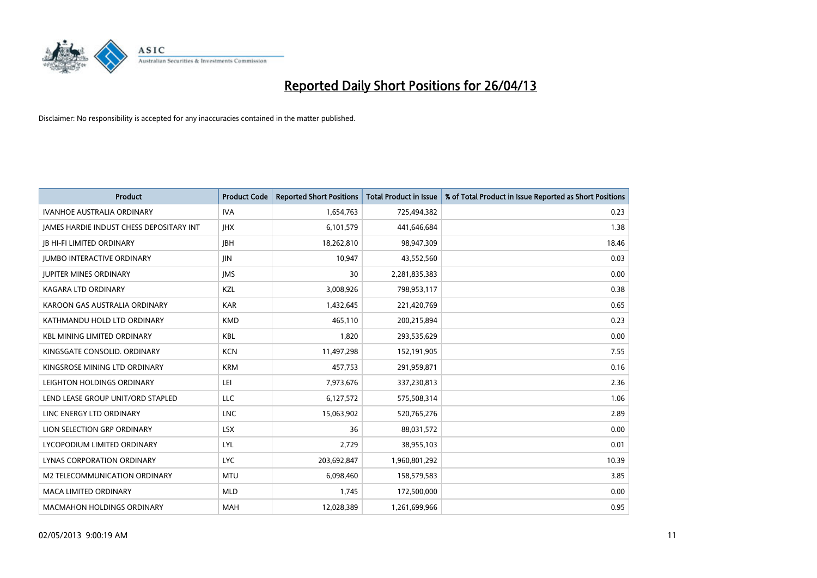

| <b>Product</b>                           | <b>Product Code</b> | <b>Reported Short Positions</b> | <b>Total Product in Issue</b> | % of Total Product in Issue Reported as Short Positions |
|------------------------------------------|---------------------|---------------------------------|-------------------------------|---------------------------------------------------------|
| <b>IVANHOE AUSTRALIA ORDINARY</b>        | <b>IVA</b>          | 1,654,763                       | 725,494,382                   | 0.23                                                    |
| JAMES HARDIE INDUST CHESS DEPOSITARY INT | <b>IHX</b>          | 6,101,579                       | 441,646,684                   | 1.38                                                    |
| <b>JB HI-FI LIMITED ORDINARY</b>         | <b>JBH</b>          | 18,262,810                      | 98,947,309                    | 18.46                                                   |
| <b>JUMBO INTERACTIVE ORDINARY</b>        | JIN                 | 10,947                          | 43,552,560                    | 0.03                                                    |
| <b>JUPITER MINES ORDINARY</b>            | <b>IMS</b>          | 30                              | 2,281,835,383                 | 0.00                                                    |
| <b>KAGARA LTD ORDINARY</b>               | KZL                 | 3,008,926                       | 798,953,117                   | 0.38                                                    |
| KAROON GAS AUSTRALIA ORDINARY            | <b>KAR</b>          | 1,432,645                       | 221,420,769                   | 0.65                                                    |
| KATHMANDU HOLD LTD ORDINARY              | <b>KMD</b>          | 465,110                         | 200,215,894                   | 0.23                                                    |
| <b>KBL MINING LIMITED ORDINARY</b>       | <b>KBL</b>          | 1,820                           | 293,535,629                   | 0.00                                                    |
| KINGSGATE CONSOLID. ORDINARY             | <b>KCN</b>          | 11,497,298                      | 152,191,905                   | 7.55                                                    |
| KINGSROSE MINING LTD ORDINARY            | <b>KRM</b>          | 457,753                         | 291,959,871                   | 0.16                                                    |
| LEIGHTON HOLDINGS ORDINARY               | LEI                 | 7,973,676                       | 337,230,813                   | 2.36                                                    |
| LEND LEASE GROUP UNIT/ORD STAPLED        | <b>LLC</b>          | 6,127,572                       | 575,508,314                   | 1.06                                                    |
| LINC ENERGY LTD ORDINARY                 | <b>LNC</b>          | 15,063,902                      | 520,765,276                   | 2.89                                                    |
| LION SELECTION GRP ORDINARY              | <b>LSX</b>          | 36                              | 88,031,572                    | 0.00                                                    |
| LYCOPODIUM LIMITED ORDINARY              | <b>LYL</b>          | 2,729                           | 38,955,103                    | 0.01                                                    |
| LYNAS CORPORATION ORDINARY               | <b>LYC</b>          | 203,692,847                     | 1,960,801,292                 | 10.39                                                   |
| M2 TELECOMMUNICATION ORDINARY            | <b>MTU</b>          | 6,098,460                       | 158,579,583                   | 3.85                                                    |
| <b>MACA LIMITED ORDINARY</b>             | <b>MLD</b>          | 1,745                           | 172,500,000                   | 0.00                                                    |
| <b>MACMAHON HOLDINGS ORDINARY</b>        | <b>MAH</b>          | 12,028,389                      | 1,261,699,966                 | 0.95                                                    |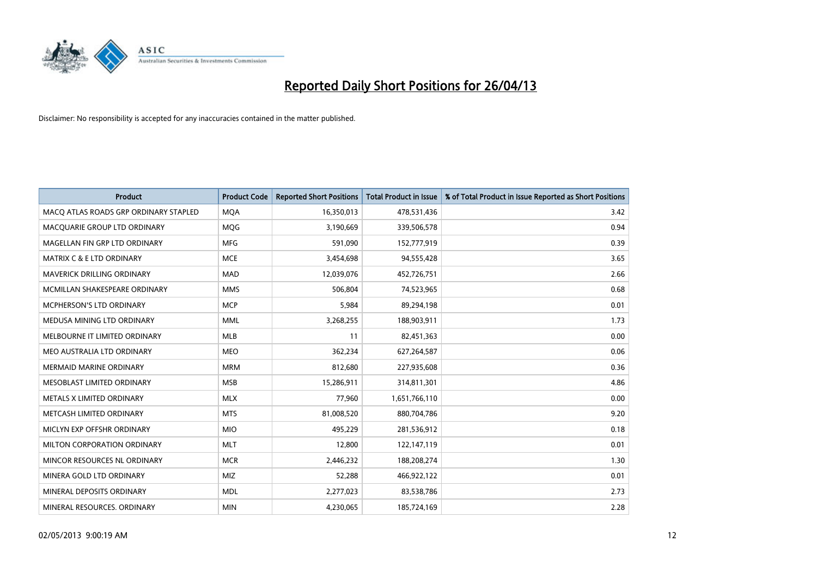

| <b>Product</b>                        | <b>Product Code</b> | <b>Reported Short Positions</b> | <b>Total Product in Issue</b> | % of Total Product in Issue Reported as Short Positions |
|---------------------------------------|---------------------|---------------------------------|-------------------------------|---------------------------------------------------------|
| MACO ATLAS ROADS GRP ORDINARY STAPLED | <b>MQA</b>          | 16,350,013                      | 478,531,436                   | 3.42                                                    |
| MACQUARIE GROUP LTD ORDINARY          | MQG                 | 3,190,669                       | 339,506,578                   | 0.94                                                    |
| MAGELLAN FIN GRP LTD ORDINARY         | <b>MFG</b>          | 591,090                         | 152,777,919                   | 0.39                                                    |
| <b>MATRIX C &amp; E LTD ORDINARY</b>  | <b>MCE</b>          | 3,454,698                       | 94,555,428                    | 3.65                                                    |
| <b>MAVERICK DRILLING ORDINARY</b>     | <b>MAD</b>          | 12,039,076                      | 452,726,751                   | 2.66                                                    |
| MCMILLAN SHAKESPEARE ORDINARY         | <b>MMS</b>          | 506,804                         | 74,523,965                    | 0.68                                                    |
| <b>MCPHERSON'S LTD ORDINARY</b>       | <b>MCP</b>          | 5,984                           | 89,294,198                    | 0.01                                                    |
| MEDUSA MINING LTD ORDINARY            | <b>MML</b>          | 3,268,255                       | 188,903,911                   | 1.73                                                    |
| MELBOURNE IT LIMITED ORDINARY         | <b>MLB</b>          | 11                              | 82,451,363                    | 0.00                                                    |
| MEO AUSTRALIA LTD ORDINARY            | <b>MEO</b>          | 362,234                         | 627,264,587                   | 0.06                                                    |
| <b>MERMAID MARINE ORDINARY</b>        | <b>MRM</b>          | 812,680                         | 227,935,608                   | 0.36                                                    |
| MESOBLAST LIMITED ORDINARY            | <b>MSB</b>          | 15,286,911                      | 314,811,301                   | 4.86                                                    |
| METALS X LIMITED ORDINARY             | <b>MLX</b>          | 77,960                          | 1,651,766,110                 | 0.00                                                    |
| METCASH LIMITED ORDINARY              | <b>MTS</b>          | 81,008,520                      | 880,704,786                   | 9.20                                                    |
| MICLYN EXP OFFSHR ORDINARY            | <b>MIO</b>          | 495,229                         | 281,536,912                   | 0.18                                                    |
| MILTON CORPORATION ORDINARY           | <b>MLT</b>          | 12,800                          | 122,147,119                   | 0.01                                                    |
| MINCOR RESOURCES NL ORDINARY          | <b>MCR</b>          | 2,446,232                       | 188,208,274                   | 1.30                                                    |
| MINERA GOLD LTD ORDINARY              | <b>MIZ</b>          | 52,288                          | 466,922,122                   | 0.01                                                    |
| MINERAL DEPOSITS ORDINARY             | <b>MDL</b>          | 2,277,023                       | 83,538,786                    | 2.73                                                    |
| MINERAL RESOURCES. ORDINARY           | <b>MIN</b>          | 4,230,065                       | 185,724,169                   | 2.28                                                    |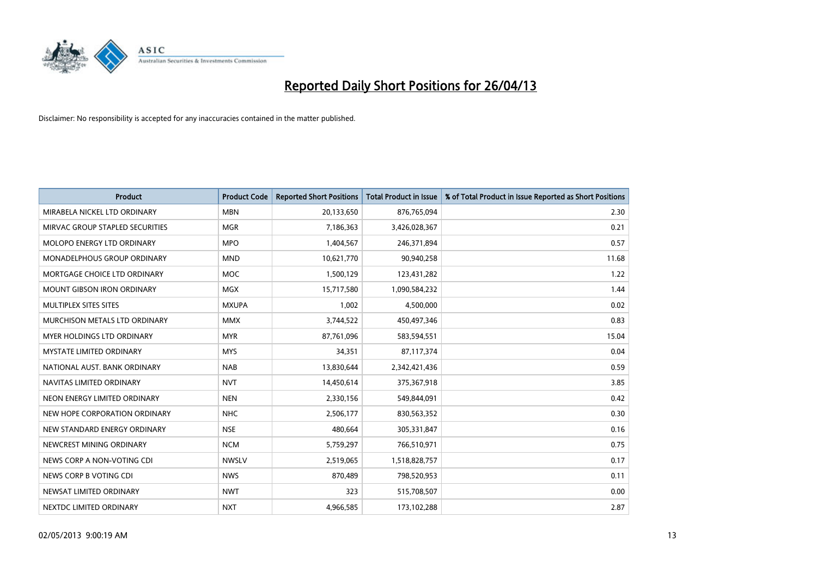

| <b>Product</b>                    | <b>Product Code</b> | <b>Reported Short Positions</b> | <b>Total Product in Issue</b> | % of Total Product in Issue Reported as Short Positions |
|-----------------------------------|---------------------|---------------------------------|-------------------------------|---------------------------------------------------------|
| MIRABELA NICKEL LTD ORDINARY      | <b>MBN</b>          | 20,133,650                      | 876,765,094                   | 2.30                                                    |
| MIRVAC GROUP STAPLED SECURITIES   | <b>MGR</b>          | 7,186,363                       | 3,426,028,367                 | 0.21                                                    |
| MOLOPO ENERGY LTD ORDINARY        | <b>MPO</b>          | 1,404,567                       | 246,371,894                   | 0.57                                                    |
| MONADELPHOUS GROUP ORDINARY       | <b>MND</b>          | 10,621,770                      | 90,940,258                    | 11.68                                                   |
| MORTGAGE CHOICE LTD ORDINARY      | <b>MOC</b>          | 1,500,129                       | 123,431,282                   | 1.22                                                    |
| <b>MOUNT GIBSON IRON ORDINARY</b> | <b>MGX</b>          | 15,717,580                      | 1,090,584,232                 | 1.44                                                    |
| MULTIPLEX SITES SITES             | <b>MXUPA</b>        | 1,002                           | 4,500,000                     | 0.02                                                    |
| MURCHISON METALS LTD ORDINARY     | <b>MMX</b>          | 3,744,522                       | 450,497,346                   | 0.83                                                    |
| <b>MYER HOLDINGS LTD ORDINARY</b> | <b>MYR</b>          | 87,761,096                      | 583,594,551                   | 15.04                                                   |
| <b>MYSTATE LIMITED ORDINARY</b>   | <b>MYS</b>          | 34,351                          | 87,117,374                    | 0.04                                                    |
| NATIONAL AUST, BANK ORDINARY      | <b>NAB</b>          | 13,830,644                      | 2,342,421,436                 | 0.59                                                    |
| NAVITAS LIMITED ORDINARY          | <b>NVT</b>          | 14,450,614                      | 375,367,918                   | 3.85                                                    |
| NEON ENERGY LIMITED ORDINARY      | <b>NEN</b>          | 2,330,156                       | 549,844,091                   | 0.42                                                    |
| NEW HOPE CORPORATION ORDINARY     | <b>NHC</b>          | 2,506,177                       | 830,563,352                   | 0.30                                                    |
| NEW STANDARD ENERGY ORDINARY      | <b>NSE</b>          | 480,664                         | 305,331,847                   | 0.16                                                    |
| NEWCREST MINING ORDINARY          | <b>NCM</b>          | 5,759,297                       | 766,510,971                   | 0.75                                                    |
| NEWS CORP A NON-VOTING CDI        | <b>NWSLV</b>        | 2,519,065                       | 1,518,828,757                 | 0.17                                                    |
| NEWS CORP B VOTING CDI            | <b>NWS</b>          | 870,489                         | 798,520,953                   | 0.11                                                    |
| NEWSAT LIMITED ORDINARY           | <b>NWT</b>          | 323                             | 515,708,507                   | 0.00                                                    |
| NEXTDC LIMITED ORDINARY           | <b>NXT</b>          | 4,966,585                       | 173,102,288                   | 2.87                                                    |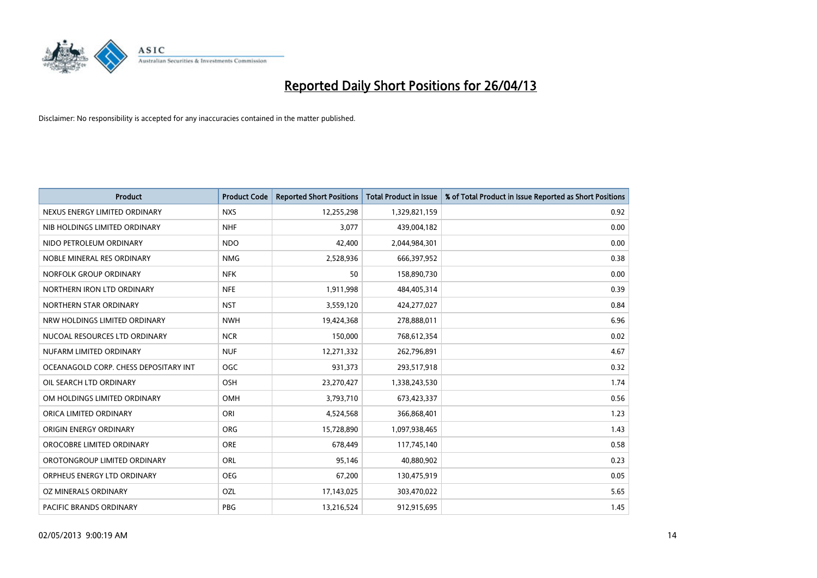

| <b>Product</b>                        | <b>Product Code</b> | <b>Reported Short Positions</b> | <b>Total Product in Issue</b> | % of Total Product in Issue Reported as Short Positions |
|---------------------------------------|---------------------|---------------------------------|-------------------------------|---------------------------------------------------------|
| NEXUS ENERGY LIMITED ORDINARY         | <b>NXS</b>          | 12,255,298                      | 1,329,821,159                 | 0.92                                                    |
| NIB HOLDINGS LIMITED ORDINARY         | <b>NHF</b>          | 3,077                           | 439,004,182                   | 0.00                                                    |
| NIDO PETROLEUM ORDINARY               | <b>NDO</b>          | 42,400                          | 2,044,984,301                 | 0.00                                                    |
| NOBLE MINERAL RES ORDINARY            | <b>NMG</b>          | 2,528,936                       | 666,397,952                   | 0.38                                                    |
| NORFOLK GROUP ORDINARY                | <b>NFK</b>          | 50                              | 158,890,730                   | 0.00                                                    |
| NORTHERN IRON LTD ORDINARY            | <b>NFE</b>          | 1,911,998                       | 484,405,314                   | 0.39                                                    |
| NORTHERN STAR ORDINARY                | <b>NST</b>          | 3,559,120                       | 424,277,027                   | 0.84                                                    |
| NRW HOLDINGS LIMITED ORDINARY         | <b>NWH</b>          | 19,424,368                      | 278,888,011                   | 6.96                                                    |
| NUCOAL RESOURCES LTD ORDINARY         | <b>NCR</b>          | 150,000                         | 768,612,354                   | 0.02                                                    |
| NUFARM LIMITED ORDINARY               | <b>NUF</b>          | 12,271,332                      | 262,796,891                   | 4.67                                                    |
| OCEANAGOLD CORP. CHESS DEPOSITARY INT | <b>OGC</b>          | 931,373                         | 293,517,918                   | 0.32                                                    |
| OIL SEARCH LTD ORDINARY               | OSH                 | 23,270,427                      | 1,338,243,530                 | 1.74                                                    |
| OM HOLDINGS LIMITED ORDINARY          | OMH                 | 3,793,710                       | 673,423,337                   | 0.56                                                    |
| ORICA LIMITED ORDINARY                | ORI                 | 4,524,568                       | 366,868,401                   | 1.23                                                    |
| ORIGIN ENERGY ORDINARY                | <b>ORG</b>          | 15,728,890                      | 1,097,938,465                 | 1.43                                                    |
| OROCOBRE LIMITED ORDINARY             | <b>ORE</b>          | 678,449                         | 117,745,140                   | 0.58                                                    |
| OROTONGROUP LIMITED ORDINARY          | ORL                 | 95,146                          | 40,880,902                    | 0.23                                                    |
| ORPHEUS ENERGY LTD ORDINARY           | <b>OEG</b>          | 67,200                          | 130,475,919                   | 0.05                                                    |
| OZ MINERALS ORDINARY                  | OZL                 | 17,143,025                      | 303,470,022                   | 5.65                                                    |
| PACIFIC BRANDS ORDINARY               | <b>PBG</b>          | 13,216,524                      | 912,915,695                   | 1.45                                                    |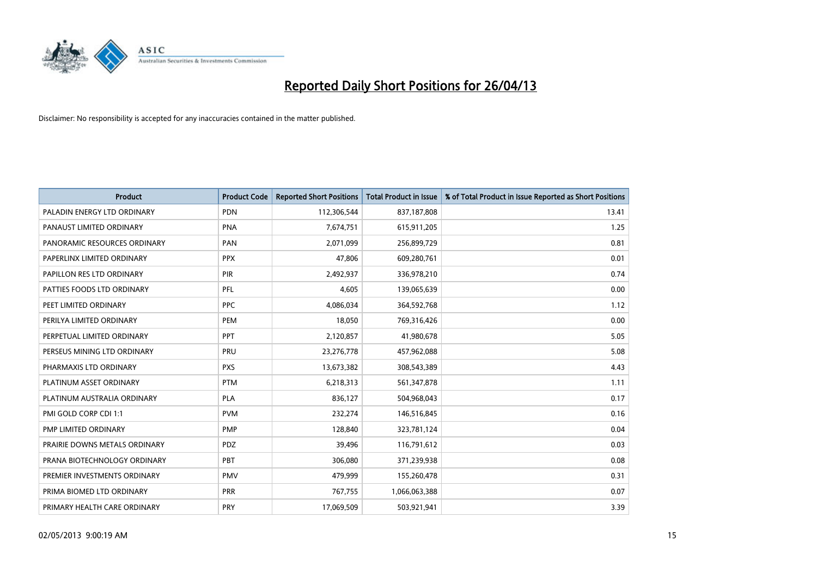

| <b>Product</b>                | <b>Product Code</b> | <b>Reported Short Positions</b> | <b>Total Product in Issue</b> | % of Total Product in Issue Reported as Short Positions |
|-------------------------------|---------------------|---------------------------------|-------------------------------|---------------------------------------------------------|
| PALADIN ENERGY LTD ORDINARY   | <b>PDN</b>          | 112,306,544                     | 837,187,808                   | 13.41                                                   |
| PANAUST LIMITED ORDINARY      | <b>PNA</b>          | 7,674,751                       | 615,911,205                   | 1.25                                                    |
| PANORAMIC RESOURCES ORDINARY  | PAN                 | 2,071,099                       | 256,899,729                   | 0.81                                                    |
| PAPERLINX LIMITED ORDINARY    | <b>PPX</b>          | 47,806                          | 609,280,761                   | 0.01                                                    |
| PAPILLON RES LTD ORDINARY     | PIR                 | 2,492,937                       | 336,978,210                   | 0.74                                                    |
| PATTIES FOODS LTD ORDINARY    | PFL                 | 4,605                           | 139,065,639                   | 0.00                                                    |
| PEET LIMITED ORDINARY         | <b>PPC</b>          | 4,086,034                       | 364,592,768                   | 1.12                                                    |
| PERILYA LIMITED ORDINARY      | PEM                 | 18,050                          | 769,316,426                   | 0.00                                                    |
| PERPETUAL LIMITED ORDINARY    | <b>PPT</b>          | 2,120,857                       | 41,980,678                    | 5.05                                                    |
| PERSEUS MINING LTD ORDINARY   | <b>PRU</b>          | 23,276,778                      | 457,962,088                   | 5.08                                                    |
| PHARMAXIS LTD ORDINARY        | <b>PXS</b>          | 13,673,382                      | 308,543,389                   | 4.43                                                    |
| PLATINUM ASSET ORDINARY       | <b>PTM</b>          | 6,218,313                       | 561,347,878                   | 1.11                                                    |
| PLATINUM AUSTRALIA ORDINARY   | PLA                 | 836,127                         | 504,968,043                   | 0.17                                                    |
| PMI GOLD CORP CDI 1:1         | <b>PVM</b>          | 232,274                         | 146,516,845                   | 0.16                                                    |
| PMP LIMITED ORDINARY          | <b>PMP</b>          | 128,840                         | 323,781,124                   | 0.04                                                    |
| PRAIRIE DOWNS METALS ORDINARY | <b>PDZ</b>          | 39,496                          | 116,791,612                   | 0.03                                                    |
| PRANA BIOTECHNOLOGY ORDINARY  | PBT                 | 306,080                         | 371,239,938                   | 0.08                                                    |
| PREMIER INVESTMENTS ORDINARY  | <b>PMV</b>          | 479,999                         | 155,260,478                   | 0.31                                                    |
| PRIMA BIOMED LTD ORDINARY     | <b>PRR</b>          | 767,755                         | 1,066,063,388                 | 0.07                                                    |
| PRIMARY HEALTH CARE ORDINARY  | <b>PRY</b>          | 17,069,509                      | 503,921,941                   | 3.39                                                    |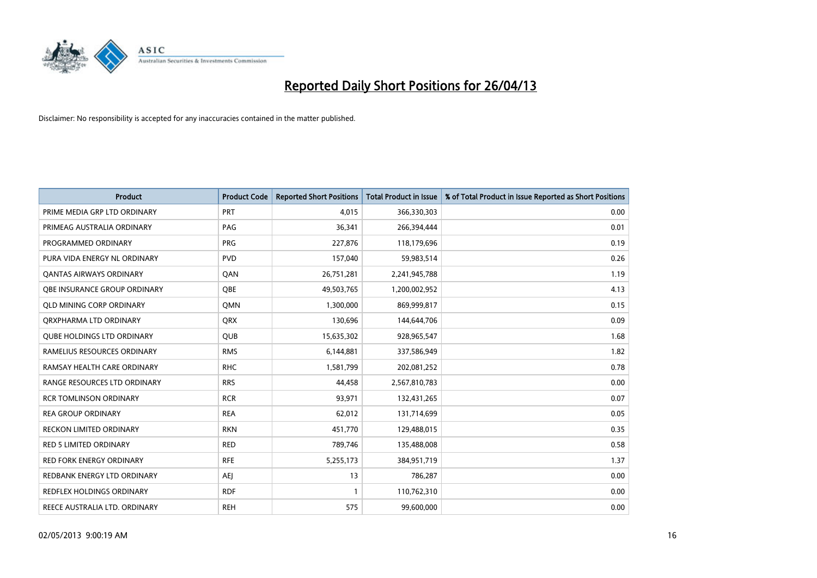

| <b>Product</b>                    | <b>Product Code</b> | <b>Reported Short Positions</b> | <b>Total Product in Issue</b> | % of Total Product in Issue Reported as Short Positions |
|-----------------------------------|---------------------|---------------------------------|-------------------------------|---------------------------------------------------------|
| PRIME MEDIA GRP LTD ORDINARY      | <b>PRT</b>          | 4,015                           | 366,330,303                   | 0.00                                                    |
| PRIMEAG AUSTRALIA ORDINARY        | PAG                 | 36,341                          | 266,394,444                   | 0.01                                                    |
| PROGRAMMED ORDINARY               | <b>PRG</b>          | 227,876                         | 118,179,696                   | 0.19                                                    |
| PURA VIDA ENERGY NL ORDINARY      | <b>PVD</b>          | 157,040                         | 59,983,514                    | 0.26                                                    |
| <b>QANTAS AIRWAYS ORDINARY</b>    | QAN                 | 26,751,281                      | 2,241,945,788                 | 1.19                                                    |
| OBE INSURANCE GROUP ORDINARY      | <b>OBE</b>          | 49,503,765                      | 1,200,002,952                 | 4.13                                                    |
| <b>QLD MINING CORP ORDINARY</b>   | <b>OMN</b>          | 1,300,000                       | 869,999,817                   | 0.15                                                    |
| ORXPHARMA LTD ORDINARY            | <b>QRX</b>          | 130,696                         | 144,644,706                   | 0.09                                                    |
| <b>QUBE HOLDINGS LTD ORDINARY</b> | <b>QUB</b>          | 15,635,302                      | 928,965,547                   | 1.68                                                    |
| RAMELIUS RESOURCES ORDINARY       | <b>RMS</b>          | 6,144,881                       | 337,586,949                   | 1.82                                                    |
| RAMSAY HEALTH CARE ORDINARY       | <b>RHC</b>          | 1,581,799                       | 202,081,252                   | 0.78                                                    |
| RANGE RESOURCES LTD ORDINARY      | <b>RRS</b>          | 44,458                          | 2,567,810,783                 | 0.00                                                    |
| <b>RCR TOMLINSON ORDINARY</b>     | <b>RCR</b>          | 93,971                          | 132,431,265                   | 0.07                                                    |
| <b>REA GROUP ORDINARY</b>         | <b>REA</b>          | 62,012                          | 131,714,699                   | 0.05                                                    |
| <b>RECKON LIMITED ORDINARY</b>    | <b>RKN</b>          | 451,770                         | 129,488,015                   | 0.35                                                    |
| RED 5 LIMITED ORDINARY            | <b>RED</b>          | 789,746                         | 135,488,008                   | 0.58                                                    |
| RED FORK ENERGY ORDINARY          | <b>RFE</b>          | 5,255,173                       | 384,951,719                   | 1.37                                                    |
| REDBANK ENERGY LTD ORDINARY       | AEJ                 | 13                              | 786,287                       | 0.00                                                    |
| <b>REDFLEX HOLDINGS ORDINARY</b>  | <b>RDF</b>          | 1                               | 110,762,310                   | 0.00                                                    |
| REECE AUSTRALIA LTD. ORDINARY     | <b>REH</b>          | 575                             | 99,600,000                    | 0.00                                                    |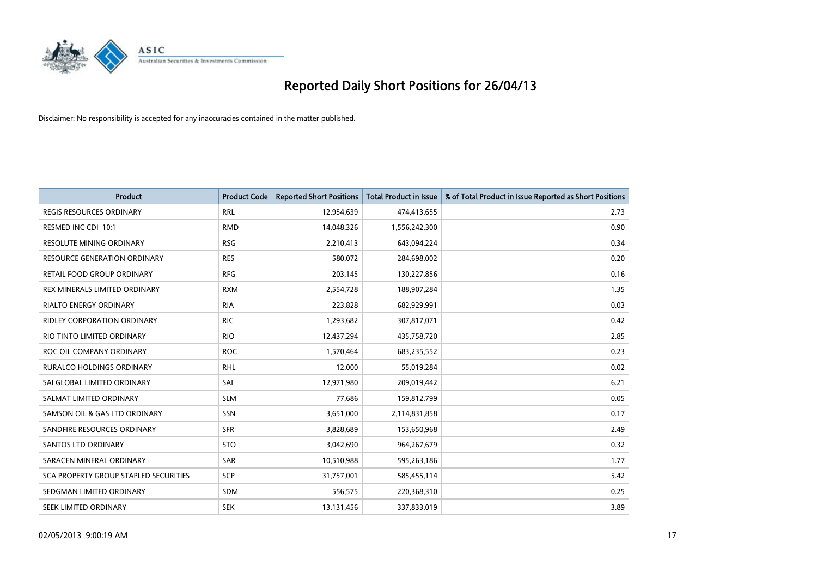

| <b>Product</b>                        | <b>Product Code</b> | <b>Reported Short Positions</b> | <b>Total Product in Issue</b> | % of Total Product in Issue Reported as Short Positions |
|---------------------------------------|---------------------|---------------------------------|-------------------------------|---------------------------------------------------------|
| <b>REGIS RESOURCES ORDINARY</b>       | <b>RRL</b>          | 12,954,639                      | 474,413,655                   | 2.73                                                    |
| RESMED INC CDI 10:1                   | <b>RMD</b>          | 14,048,326                      | 1,556,242,300                 | 0.90                                                    |
| <b>RESOLUTE MINING ORDINARY</b>       | <b>RSG</b>          | 2,210,413                       | 643,094,224                   | 0.34                                                    |
| RESOURCE GENERATION ORDINARY          | <b>RES</b>          | 580,072                         | 284,698,002                   | 0.20                                                    |
| RETAIL FOOD GROUP ORDINARY            | <b>RFG</b>          | 203,145                         | 130,227,856                   | 0.16                                                    |
| REX MINERALS LIMITED ORDINARY         | <b>RXM</b>          | 2,554,728                       | 188,907,284                   | 1.35                                                    |
| <b>RIALTO ENERGY ORDINARY</b>         | <b>RIA</b>          | 223,828                         | 682,929,991                   | 0.03                                                    |
| RIDLEY CORPORATION ORDINARY           | <b>RIC</b>          | 1,293,682                       | 307,817,071                   | 0.42                                                    |
| RIO TINTO LIMITED ORDINARY            | <b>RIO</b>          | 12,437,294                      | 435,758,720                   | 2.85                                                    |
| ROC OIL COMPANY ORDINARY              | <b>ROC</b>          | 1,570,464                       | 683,235,552                   | 0.23                                                    |
| RURALCO HOLDINGS ORDINARY             | <b>RHL</b>          | 12,000                          | 55,019,284                    | 0.02                                                    |
| SAI GLOBAL LIMITED ORDINARY           | SAI                 | 12,971,980                      | 209,019,442                   | 6.21                                                    |
| SALMAT LIMITED ORDINARY               | <b>SLM</b>          | 77,686                          | 159,812,799                   | 0.05                                                    |
| SAMSON OIL & GAS LTD ORDINARY         | SSN                 | 3,651,000                       | 2,114,831,858                 | 0.17                                                    |
| SANDFIRE RESOURCES ORDINARY           | <b>SFR</b>          | 3,828,689                       | 153,650,968                   | 2.49                                                    |
| <b>SANTOS LTD ORDINARY</b>            | <b>STO</b>          | 3,042,690                       | 964,267,679                   | 0.32                                                    |
| SARACEN MINERAL ORDINARY              | SAR                 | 10,510,988                      | 595,263,186                   | 1.77                                                    |
| SCA PROPERTY GROUP STAPLED SECURITIES | <b>SCP</b>          | 31,757,001                      | 585,455,114                   | 5.42                                                    |
| SEDGMAN LIMITED ORDINARY              | <b>SDM</b>          | 556,575                         | 220,368,310                   | 0.25                                                    |
| SEEK LIMITED ORDINARY                 | <b>SEK</b>          | 13,131,456                      | 337,833,019                   | 3.89                                                    |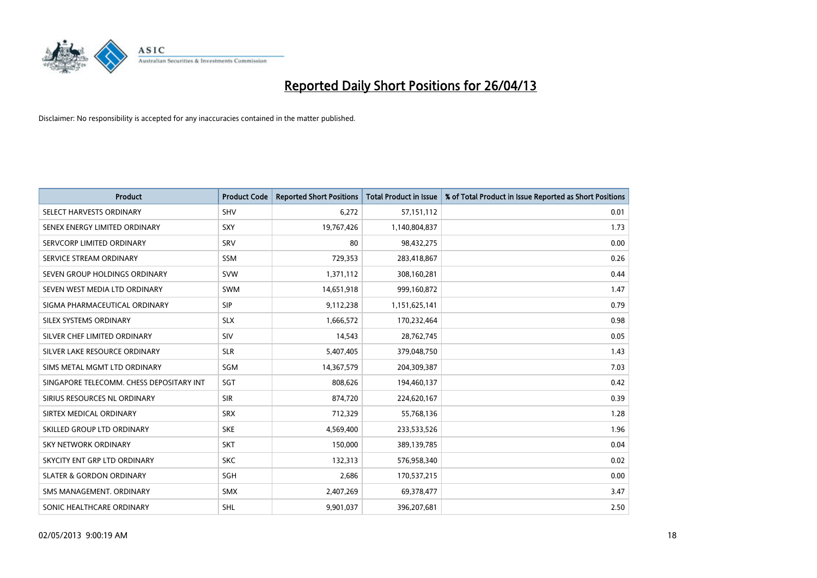

| <b>Product</b>                           | <b>Product Code</b> | <b>Reported Short Positions</b> | <b>Total Product in Issue</b> | % of Total Product in Issue Reported as Short Positions |
|------------------------------------------|---------------------|---------------------------------|-------------------------------|---------------------------------------------------------|
| SELECT HARVESTS ORDINARY                 | SHV                 | 6,272                           | 57,151,112                    | 0.01                                                    |
| SENEX ENERGY LIMITED ORDINARY            | <b>SXY</b>          | 19,767,426                      | 1,140,804,837                 | 1.73                                                    |
| SERVCORP LIMITED ORDINARY                | SRV                 | 80                              | 98,432,275                    | 0.00                                                    |
| SERVICE STREAM ORDINARY                  | SSM                 | 729,353                         | 283,418,867                   | 0.26                                                    |
| SEVEN GROUP HOLDINGS ORDINARY            | <b>SVW</b>          | 1,371,112                       | 308,160,281                   | 0.44                                                    |
| SEVEN WEST MEDIA LTD ORDINARY            | <b>SWM</b>          | 14,651,918                      | 999,160,872                   | 1.47                                                    |
| SIGMA PHARMACEUTICAL ORDINARY            | <b>SIP</b>          | 9,112,238                       | 1,151,625,141                 | 0.79                                                    |
| SILEX SYSTEMS ORDINARY                   | <b>SLX</b>          | 1,666,572                       | 170,232,464                   | 0.98                                                    |
| SILVER CHEF LIMITED ORDINARY             | SIV                 | 14,543                          | 28,762,745                    | 0.05                                                    |
| SILVER LAKE RESOURCE ORDINARY            | <b>SLR</b>          | 5,407,405                       | 379,048,750                   | 1.43                                                    |
| SIMS METAL MGMT LTD ORDINARY             | SGM                 | 14,367,579                      | 204,309,387                   | 7.03                                                    |
| SINGAPORE TELECOMM. CHESS DEPOSITARY INT | SGT                 | 808,626                         | 194,460,137                   | 0.42                                                    |
| SIRIUS RESOURCES NL ORDINARY             | <b>SIR</b>          | 874,720                         | 224,620,167                   | 0.39                                                    |
| SIRTEX MEDICAL ORDINARY                  | <b>SRX</b>          | 712,329                         | 55,768,136                    | 1.28                                                    |
| SKILLED GROUP LTD ORDINARY               | <b>SKE</b>          | 4,569,400                       | 233,533,526                   | 1.96                                                    |
| SKY NETWORK ORDINARY                     | <b>SKT</b>          | 150,000                         | 389,139,785                   | 0.04                                                    |
| SKYCITY ENT GRP LTD ORDINARY             | <b>SKC</b>          | 132,313                         | 576,958,340                   | 0.02                                                    |
| <b>SLATER &amp; GORDON ORDINARY</b>      | SGH                 | 2,686                           | 170,537,215                   | 0.00                                                    |
| SMS MANAGEMENT, ORDINARY                 | <b>SMX</b>          | 2,407,269                       | 69,378,477                    | 3.47                                                    |
| SONIC HEALTHCARE ORDINARY                | SHL                 | 9,901,037                       | 396,207,681                   | 2.50                                                    |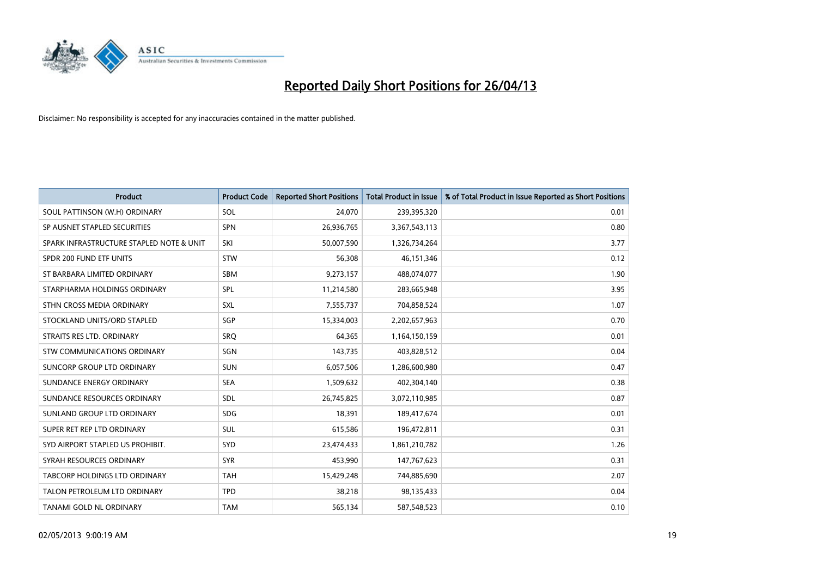

| <b>Product</b>                           | <b>Product Code</b> | <b>Reported Short Positions</b> | <b>Total Product in Issue</b> | % of Total Product in Issue Reported as Short Positions |
|------------------------------------------|---------------------|---------------------------------|-------------------------------|---------------------------------------------------------|
| SOUL PATTINSON (W.H) ORDINARY            | SOL                 | 24,070                          | 239,395,320                   | 0.01                                                    |
| SP AUSNET STAPLED SECURITIES             | <b>SPN</b>          | 26,936,765                      | 3,367,543,113                 | 0.80                                                    |
| SPARK INFRASTRUCTURE STAPLED NOTE & UNIT | SKI                 | 50,007,590                      | 1,326,734,264                 | 3.77                                                    |
| SPDR 200 FUND ETF UNITS                  | <b>STW</b>          | 56,308                          | 46,151,346                    | 0.12                                                    |
| ST BARBARA LIMITED ORDINARY              | <b>SBM</b>          | 9,273,157                       | 488,074,077                   | 1.90                                                    |
| STARPHARMA HOLDINGS ORDINARY             | <b>SPL</b>          | 11,214,580                      | 283,665,948                   | 3.95                                                    |
| STHN CROSS MEDIA ORDINARY                | <b>SXL</b>          | 7,555,737                       | 704,858,524                   | 1.07                                                    |
| STOCKLAND UNITS/ORD STAPLED              | SGP                 | 15,334,003                      | 2,202,657,963                 | 0.70                                                    |
| STRAITS RES LTD. ORDINARY                | <b>SRQ</b>          | 64,365                          | 1,164,150,159                 | 0.01                                                    |
| STW COMMUNICATIONS ORDINARY              | SGN                 | 143,735                         | 403,828,512                   | 0.04                                                    |
| SUNCORP GROUP LTD ORDINARY               | <b>SUN</b>          | 6,057,506                       | 1,286,600,980                 | 0.47                                                    |
| SUNDANCE ENERGY ORDINARY                 | <b>SEA</b>          | 1,509,632                       | 402,304,140                   | 0.38                                                    |
| SUNDANCE RESOURCES ORDINARY              | <b>SDL</b>          | 26,745,825                      | 3,072,110,985                 | 0.87                                                    |
| SUNLAND GROUP LTD ORDINARY               | <b>SDG</b>          | 18,391                          | 189,417,674                   | 0.01                                                    |
| SUPER RET REP LTD ORDINARY               | <b>SUL</b>          | 615,586                         | 196,472,811                   | 0.31                                                    |
| SYD AIRPORT STAPLED US PROHIBIT.         | SYD                 | 23,474,433                      | 1,861,210,782                 | 1.26                                                    |
| SYRAH RESOURCES ORDINARY                 | <b>SYR</b>          | 453,990                         | 147,767,623                   | 0.31                                                    |
| TABCORP HOLDINGS LTD ORDINARY            | <b>TAH</b>          | 15,429,248                      | 744,885,690                   | 2.07                                                    |
| TALON PETROLEUM LTD ORDINARY             | <b>TPD</b>          | 38,218                          | 98,135,433                    | 0.04                                                    |
| <b>TANAMI GOLD NL ORDINARY</b>           | <b>TAM</b>          | 565,134                         | 587,548,523                   | 0.10                                                    |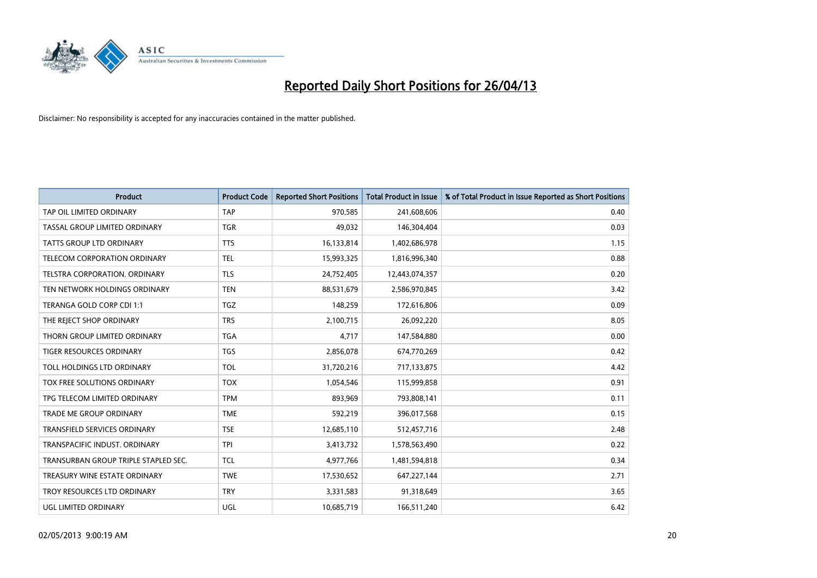

| <b>Product</b>                       | <b>Product Code</b> | <b>Reported Short Positions</b> | <b>Total Product in Issue</b> | % of Total Product in Issue Reported as Short Positions |
|--------------------------------------|---------------------|---------------------------------|-------------------------------|---------------------------------------------------------|
| TAP OIL LIMITED ORDINARY             | <b>TAP</b>          | 970,585                         | 241,608,606                   | 0.40                                                    |
| TASSAL GROUP LIMITED ORDINARY        | <b>TGR</b>          | 49,032                          | 146,304,404                   | 0.03                                                    |
| TATTS GROUP LTD ORDINARY             | <b>TTS</b>          | 16,133,814                      | 1,402,686,978                 | 1.15                                                    |
| TELECOM CORPORATION ORDINARY         | <b>TEL</b>          | 15,993,325                      | 1,816,996,340                 | 0.88                                                    |
| TELSTRA CORPORATION, ORDINARY        | <b>TLS</b>          | 24,752,405                      | 12,443,074,357                | 0.20                                                    |
| TEN NETWORK HOLDINGS ORDINARY        | <b>TEN</b>          | 88,531,679                      | 2,586,970,845                 | 3.42                                                    |
| TERANGA GOLD CORP CDI 1:1            | <b>TGZ</b>          | 148,259                         | 172,616,806                   | 0.09                                                    |
| THE REJECT SHOP ORDINARY             | <b>TRS</b>          | 2,100,715                       | 26,092,220                    | 8.05                                                    |
| THORN GROUP LIMITED ORDINARY         | <b>TGA</b>          | 4,717                           | 147,584,880                   | 0.00                                                    |
| <b>TIGER RESOURCES ORDINARY</b>      | <b>TGS</b>          | 2,856,078                       | 674,770,269                   | 0.42                                                    |
| TOLL HOLDINGS LTD ORDINARY           | <b>TOL</b>          | 31,720,216                      | 717,133,875                   | 4.42                                                    |
| TOX FREE SOLUTIONS ORDINARY          | <b>TOX</b>          | 1,054,546                       | 115,999,858                   | 0.91                                                    |
| TPG TELECOM LIMITED ORDINARY         | <b>TPM</b>          | 893,969                         | 793,808,141                   | 0.11                                                    |
| <b>TRADE ME GROUP ORDINARY</b>       | <b>TME</b>          | 592,219                         | 396,017,568                   | 0.15                                                    |
| <b>TRANSFIELD SERVICES ORDINARY</b>  | <b>TSE</b>          | 12,685,110                      | 512,457,716                   | 2.48                                                    |
| TRANSPACIFIC INDUST. ORDINARY        | <b>TPI</b>          | 3,413,732                       | 1,578,563,490                 | 0.22                                                    |
| TRANSURBAN GROUP TRIPLE STAPLED SEC. | TCL                 | 4,977,766                       | 1,481,594,818                 | 0.34                                                    |
| TREASURY WINE ESTATE ORDINARY        | <b>TWE</b>          | 17,530,652                      | 647,227,144                   | 2.71                                                    |
| TROY RESOURCES LTD ORDINARY          | <b>TRY</b>          | 3,331,583                       | 91,318,649                    | 3.65                                                    |
| UGL LIMITED ORDINARY                 | UGL                 | 10,685,719                      | 166,511,240                   | 6.42                                                    |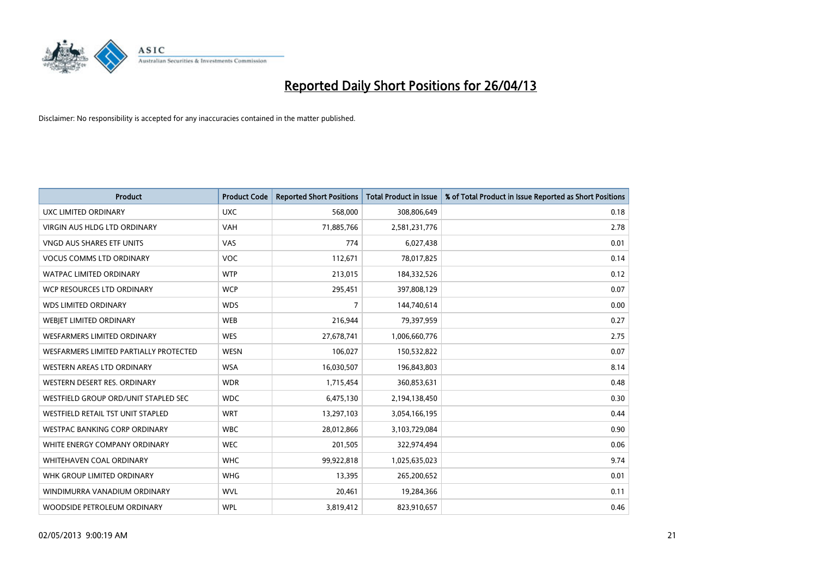

| <b>Product</b>                         | <b>Product Code</b> | <b>Reported Short Positions</b> | <b>Total Product in Issue</b> | % of Total Product in Issue Reported as Short Positions |
|----------------------------------------|---------------------|---------------------------------|-------------------------------|---------------------------------------------------------|
| <b>UXC LIMITED ORDINARY</b>            | <b>UXC</b>          | 568,000                         | 308,806,649                   | 0.18                                                    |
| <b>VIRGIN AUS HLDG LTD ORDINARY</b>    | <b>VAH</b>          | 71,885,766                      | 2,581,231,776                 | 2.78                                                    |
| VNGD AUS SHARES ETF UNITS              | VAS                 | 774                             | 6,027,438                     | 0.01                                                    |
| <b>VOCUS COMMS LTD ORDINARY</b>        | <b>VOC</b>          | 112,671                         | 78,017,825                    | 0.14                                                    |
| <b>WATPAC LIMITED ORDINARY</b>         | <b>WTP</b>          | 213,015                         | 184,332,526                   | 0.12                                                    |
| WCP RESOURCES LTD ORDINARY             | <b>WCP</b>          | 295,451                         | 397,808,129                   | 0.07                                                    |
| <b>WDS LIMITED ORDINARY</b>            | <b>WDS</b>          | 7                               | 144,740,614                   | 0.00                                                    |
| WEBJET LIMITED ORDINARY                | <b>WEB</b>          | 216,944                         | 79,397,959                    | 0.27                                                    |
| <b>WESFARMERS LIMITED ORDINARY</b>     | <b>WES</b>          | 27,678,741                      | 1,006,660,776                 | 2.75                                                    |
| WESFARMERS LIMITED PARTIALLY PROTECTED | <b>WESN</b>         | 106,027                         | 150,532,822                   | 0.07                                                    |
| WESTERN AREAS LTD ORDINARY             | <b>WSA</b>          | 16,030,507                      | 196,843,803                   | 8.14                                                    |
| WESTERN DESERT RES. ORDINARY           | <b>WDR</b>          | 1,715,454                       | 360,853,631                   | 0.48                                                    |
| WESTFIELD GROUP ORD/UNIT STAPLED SEC   | <b>WDC</b>          | 6,475,130                       | 2,194,138,450                 | 0.30                                                    |
| WESTFIELD RETAIL TST UNIT STAPLED      | <b>WRT</b>          | 13,297,103                      | 3,054,166,195                 | 0.44                                                    |
| <b>WESTPAC BANKING CORP ORDINARY</b>   | <b>WBC</b>          | 28,012,866                      | 3,103,729,084                 | 0.90                                                    |
| WHITE ENERGY COMPANY ORDINARY          | <b>WEC</b>          | 201,505                         | 322,974,494                   | 0.06                                                    |
| <b>WHITEHAVEN COAL ORDINARY</b>        | <b>WHC</b>          | 99,922,818                      | 1,025,635,023                 | 9.74                                                    |
| WHK GROUP LIMITED ORDINARY             | <b>WHG</b>          | 13,395                          | 265,200,652                   | 0.01                                                    |
| WINDIMURRA VANADIUM ORDINARY           | <b>WVL</b>          | 20,461                          | 19,284,366                    | 0.11                                                    |
| WOODSIDE PETROLEUM ORDINARY            | <b>WPL</b>          | 3,819,412                       | 823,910,657                   | 0.46                                                    |